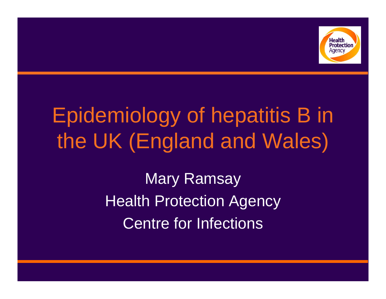

# Epidemiology of hepatitis B in the UK (England and Wales)

Mary Ramsay Health Protection Agency Centre for Infections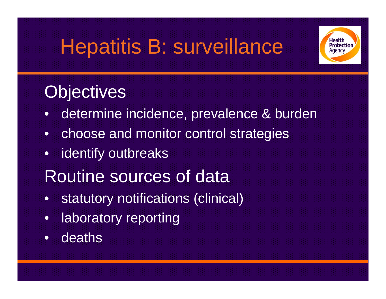# Hepatitis B: surveillance



## **Objectives**

- •determine incidence, prevalence & burden
- •choose and monitor control strategies
- •identify outbreaks
- Routine sources of data
- •statutory notifications (clinical)
- •laboratory reporting
- •deaths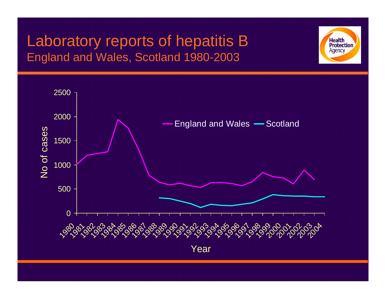## Laboratory reports of hepatitis B England and Wales, Scotland 1980-2003



**Health Protection** Agency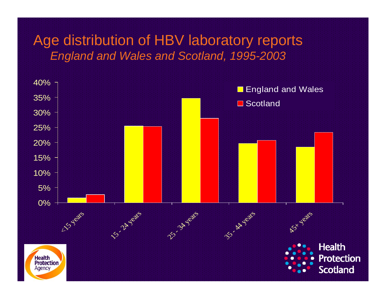#### Age distribution of HBV laboratory reports *England and Wales and Scotland, 1995-2003*

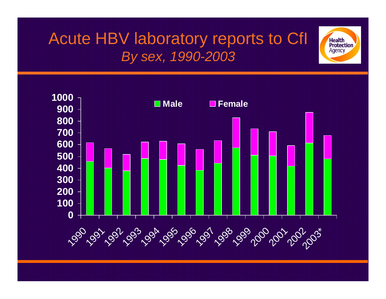## Acute HBV laboratory reports to CfI *By sex, 1990-2003*

**Health Protection** Agency

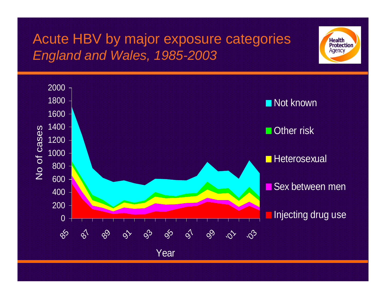## Acute HBV by major exposure categories *England and Wales, 1985-2003*



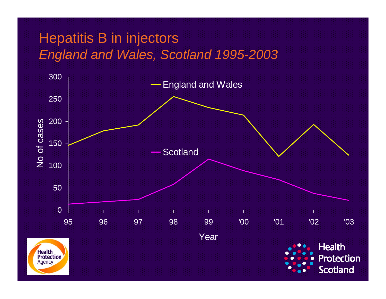### Hepatitis B in injectors *England and Wales, Scotland 1995-2003*

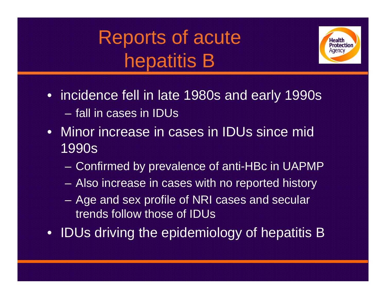Reports of acute hepatitis B



- incidence fell in late 1980s and early 1990s – fall in cases in IDUs
- Minor increase in cases in IDUs since mid 1990s
	- Confirmed by prevalence of anti-HBc in UAPMP
	- Also increase in cases with no reported history
	- Age and sex profile of NRI cases and secular trends follow those of IDUs
- IDUs driving the epidemiology of hepatitis B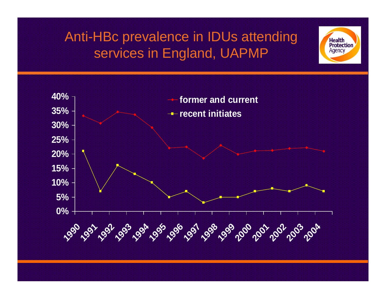## Anti-HBc prevalence in IDUs attending services in England, UAPMP



**Health Protection** Agency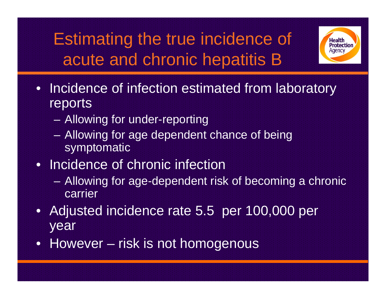Estimating the true incidence of acute and chronic hepatitis B



- Incidence of infection estimated from laboratory reports
	- Allowing for under-reporting
	- Allowing for age dependent chance of being symptomatic
- Incidence of chronic infection
	- Allowing for age-dependent risk of becoming a chronic carrier
- $\bullet$ Adjusted incidence rate 5.5 per 100,000 per year
- However risk is not homogenous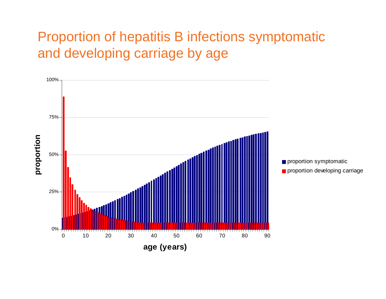#### Proportion of hepatitis B infections symptomatic and developing carriage by age

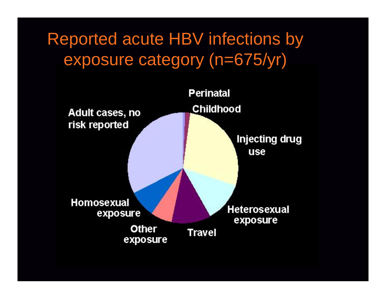Reported acute HBV infections by exposure category (n=675/yr)

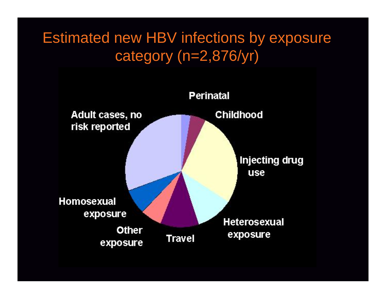## Estimated new HBV infections by exposure category (n=2,876/yr)

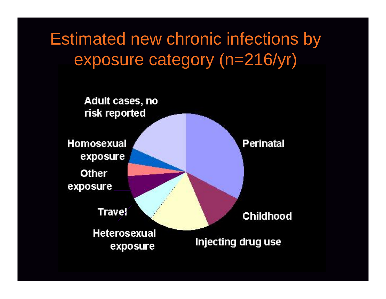Estimated new chronic infections by exposure category (n=216/yr)

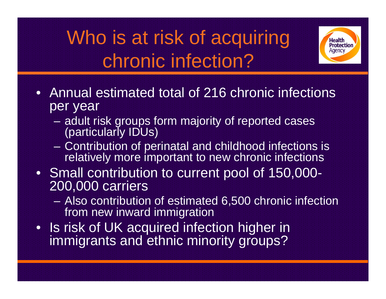# Who is at risk of acquiring chronic infection?



- Annual estimated total of 216 chronic infections per year
	- **Links and Contract and Contract**  adult risk groups form majority of reported cases (particularly IDUs)
	- Contribution of perinatal and childhood infections is relatively more important to new chronic infections
- Small contribution to current pool of 150,000- 200,000 carriers
	- Also contribution of estimated 6,500 chronic infection from new inward immigration
- Is risk of UK acquired infection higher in immigrants and ethnic minority groups?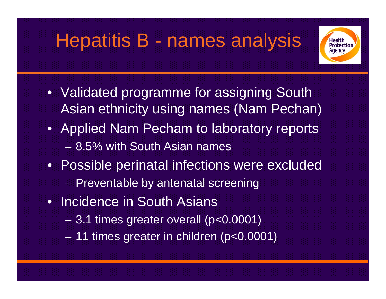# Hepatitis B - names analysis



- Validated programme for assigning South Asian ethnicity using names (Nam Pechan)
- Applied Nam Pecham to laboratory reports – 8.5% with South Asian names
- Possible perinatal infections were excluded –– Preventable by antenatal screening
- Incidence in South Asians
	- –3.1 times greater overall (p<0.0001)
	- –11 times greater in children (p<0.0001)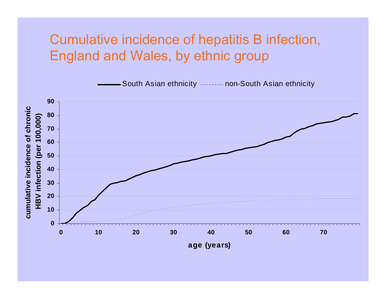#### Cumulative incidence of hepatitis B infection, England and Wales, by ethnic group

South Asian ethnicity -------- non-South Asian ethnicity

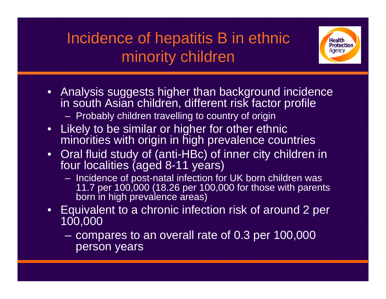## Incidence of hepatitis B in ethnic minority children



- Analysis suggests higher than background incidence in south Asian children, different risk factor profile – Probably children travelling to country of origin
- Likely to be similar or higher for other ethnic minorities with origin in high prevalence countries
- Oral fluid study of (anti-HBc) of inner city children in four localities (aged 8-11 years)
	- $-$  Incidence of post-natal infection for UK born children was 11.7 per 100,000 (18.26 per 100,000 for those with parents born in high prevalence areas)
- Equivalent to a chronic infection risk of around 2 per 100,000
	- compares to an overall rate of 0.3 per 100,000 person years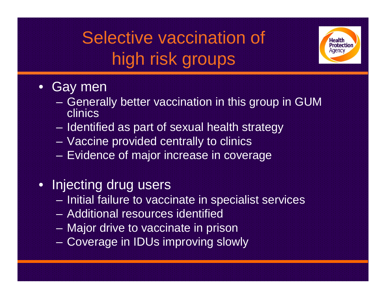# Selective vaccination of high risk groups



#### •Gay men

- Generally better vaccination in this group in GUM clinics
- – $-$  Identified as part of sexual health strategy
- Vaccine provided centrally to clinics
- Evidence of major increase in coverage
- Injecting drug users
	- – $-$  Initial failure to vaccinate in specialist services
	- Additional resources identified
	- Major drive to vaccinate in prison
	- Coverage in IDUs improving slowly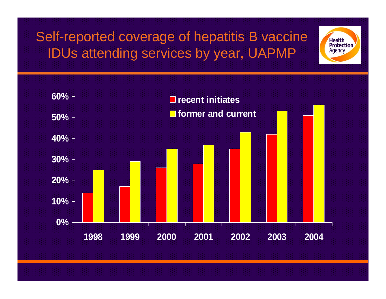Self-reported coverage of hepatitis B vaccine IDUs attending services by year, UAPMP

**Health Protection** Agency

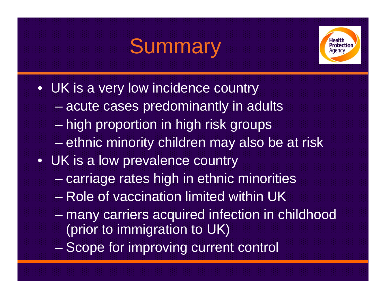# **Summary**



- UK is a very low incidence country
	- en al control de la control de la  $-$  acute cases predominantly in adults
	- –– high proportion in high risk groups
	- ethnic minority children may also be at risk
- UK is a low prevalence country
	- – $-$  carriage rates high in ethnic minorities
	- Role of vaccination limited within UK
	- en al control de la control de many carriers acquired infection in childhood (prior to immigration to UK)
	- –– Scope for improving current control